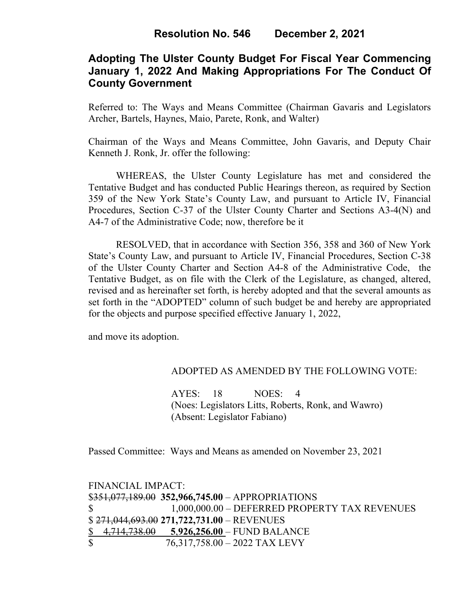# **Adopting The Ulster County Budget For Fiscal Year Commencing January 1, 2022 And Making Appropriations For The Conduct Of County Government**

Referred to: The Ways and Means Committee (Chairman Gavaris and Legislators Archer, Bartels, Haynes, Maio, Parete, Ronk, and Walter)

Chairman of the Ways and Means Committee, John Gavaris, and Deputy Chair Kenneth J. Ronk, Jr. offer the following:

WHEREAS, the Ulster County Legislature has met and considered the Tentative Budget and has conducted Public Hearings thereon, as required by Section 359 of the New York State's County Law, and pursuant to Article IV, Financial Procedures, Section C-37 of the Ulster County Charter and Sections A3-4(N) and A4-7 of the Administrative Code; now, therefore be it

RESOLVED, that in accordance with Section 356, 358 and 360 of New York State's County Law, and pursuant to Article IV, Financial Procedures, Section C-38 of the Ulster County Charter and Section A4-8 of the Administrative Code, the Tentative Budget, as on file with the Clerk of the Legislature, as changed, altered, revised and as hereinafter set forth, is hereby adopted and that the several amounts as set forth in the "ADOPTED" column of such budget be and hereby are appropriated for the objects and purpose specified effective January 1, 2022,

and move its adoption.

#### ADOPTED AS AMENDED BY THE FOLLOWING VOTE:

AYES: 18 NOES: 4 (Noes: Legislators Litts, Roberts, Ronk, and Wawro) (Absent: Legislator Fabiano)

Passed Committee: Ways and Means as amended on November 23, 2021

|              | FINANCIAL IMPACT:                                 |
|--------------|---------------------------------------------------|
|              | $$351,077,189.00$ 352,966,745.00 - APPROPRIATIONS |
| $\mathbb{S}$ | 1,000,000.00 – DEFERRED PROPERTY TAX REVENUES     |
|              | $$271,044,693.00 271,722,731.00 - REVENUES$       |
|              | $$4,714,738.00$ $$3,926,256.00$ – FUND BALANCE    |
| $\mathbb{S}$ | $76,317,758.00 - 2022$ TAX LEVY                   |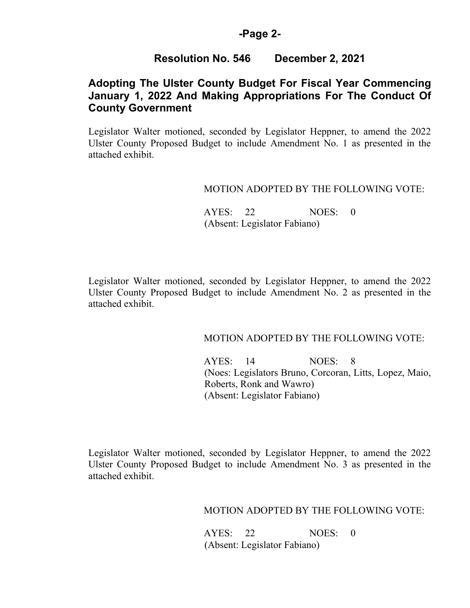### **-Page 2-**

# **Resolution No. 546 December 2, 2021**

# **Adopting The Ulster County Budget For Fiscal Year Commencing January 1, 2022 And Making Appropriations For The Conduct Of County Government**

Legislator Walter motioned, seconded by Legislator Heppner, to amend the 2022 Ulster County Proposed Budget to include Amendment No. 1 as presented in the attached exhibit.

### MOTION ADOPTED BY THE FOLLOWING VOTE:

 AYES: 22 NOES: 0 (Absent: Legislator Fabiano)

Legislator Walter motioned, seconded by Legislator Heppner, to amend the 2022 Ulster County Proposed Budget to include Amendment No. 2 as presented in the attached exhibit.

#### MOTION ADOPTED BY THE FOLLOWING VOTE:

 AYES: 14 NOES: 8 (Noes: Legislators Bruno, Corcoran, Litts, Lopez, Maio, Roberts, Ronk and Wawro) (Absent: Legislator Fabiano)

Legislator Walter motioned, seconded by Legislator Heppner, to amend the 2022 Ulster County Proposed Budget to include Amendment No. 3 as presented in the attached exhibit.

## MOTION ADOPTED BY THE FOLLOWING VOTE:

 AYES: 22 NOES: 0 (Absent: Legislator Fabiano)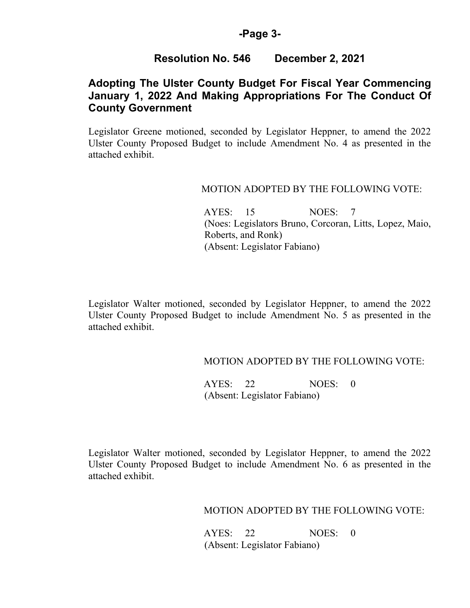### **-Page 3-**

# **Resolution No. 546 December 2, 2021**

# **Adopting The Ulster County Budget For Fiscal Year Commencing January 1, 2022 And Making Appropriations For The Conduct Of County Government**

Legislator Greene motioned, seconded by Legislator Heppner, to amend the 2022 Ulster County Proposed Budget to include Amendment No. 4 as presented in the attached exhibit.

### MOTION ADOPTED BY THE FOLLOWING VOTE:

 AYES: 15 NOES: 7 (Noes: Legislators Bruno, Corcoran, Litts, Lopez, Maio, Roberts, and Ronk) (Absent: Legislator Fabiano)

Legislator Walter motioned, seconded by Legislator Heppner, to amend the 2022 Ulster County Proposed Budget to include Amendment No. 5 as presented in the attached exhibit.

## MOTION ADOPTED BY THE FOLLOWING VOTE:

 AYES: 22 NOES: 0 (Absent: Legislator Fabiano)

Legislator Walter motioned, seconded by Legislator Heppner, to amend the 2022 Ulster County Proposed Budget to include Amendment No. 6 as presented in the attached exhibit.

MOTION ADOPTED BY THE FOLLOWING VOTE:

 AYES: 22 NOES: 0 (Absent: Legislator Fabiano)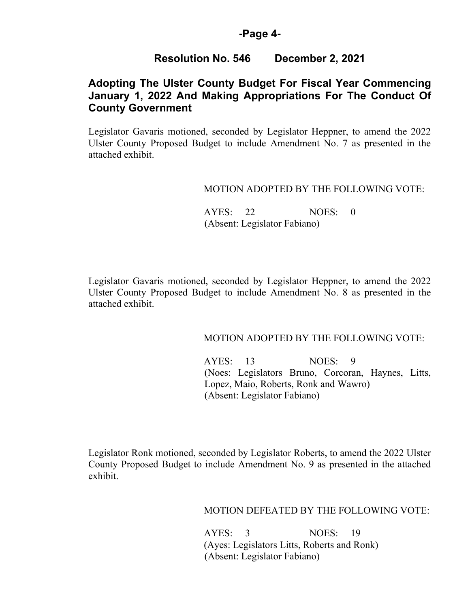#### **-Page 4-**

# **Resolution No. 546 December 2, 2021**

# **Adopting The Ulster County Budget For Fiscal Year Commencing January 1, 2022 And Making Appropriations For The Conduct Of County Government**

Legislator Gavaris motioned, seconded by Legislator Heppner, to amend the 2022 Ulster County Proposed Budget to include Amendment No. 7 as presented in the attached exhibit.

### MOTION ADOPTED BY THE FOLLOWING VOTE:

 AYES: 22 NOES: 0 (Absent: Legislator Fabiano)

Legislator Gavaris motioned, seconded by Legislator Heppner, to amend the 2022 Ulster County Proposed Budget to include Amendment No. 8 as presented in the attached exhibit.

#### MOTION ADOPTED BY THE FOLLOWING VOTE:

 AYES: 13 NOES: 9 (Noes: Legislators Bruno, Corcoran, Haynes, Litts, Lopez, Maio, Roberts, Ronk and Wawro) (Absent: Legislator Fabiano)

Legislator Ronk motioned, seconded by Legislator Roberts, to amend the 2022 Ulster County Proposed Budget to include Amendment No. 9 as presented in the attached exhibit.

## MOTION DEFEATED BY THE FOLLOWING VOTE:

 AYES: 3 NOES: 19 (Ayes: Legislators Litts, Roberts and Ronk) (Absent: Legislator Fabiano)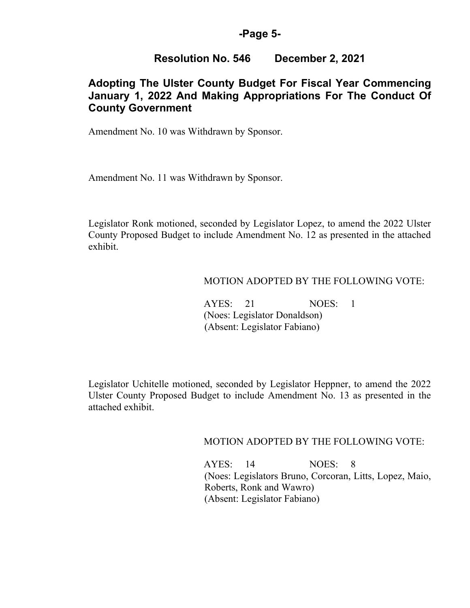#### **-Page 5-**

# **Resolution No. 546 December 2, 2021**

# **Adopting The Ulster County Budget For Fiscal Year Commencing January 1, 2022 And Making Appropriations For The Conduct Of County Government**

Amendment No. 10 was Withdrawn by Sponsor.

Amendment No. 11 was Withdrawn by Sponsor.

Legislator Ronk motioned, seconded by Legislator Lopez, to amend the 2022 Ulster County Proposed Budget to include Amendment No. 12 as presented in the attached exhibit.

### MOTION ADOPTED BY THE FOLLOWING VOTE:

 AYES: 21 NOES: 1 (Noes: Legislator Donaldson) (Absent: Legislator Fabiano)

Legislator Uchitelle motioned, seconded by Legislator Heppner, to amend the 2022 Ulster County Proposed Budget to include Amendment No. 13 as presented in the attached exhibit.

MOTION ADOPTED BY THE FOLLOWING VOTE:

 AYES: 14 NOES: 8 (Noes: Legislators Bruno, Corcoran, Litts, Lopez, Maio, Roberts, Ronk and Wawro) (Absent: Legislator Fabiano)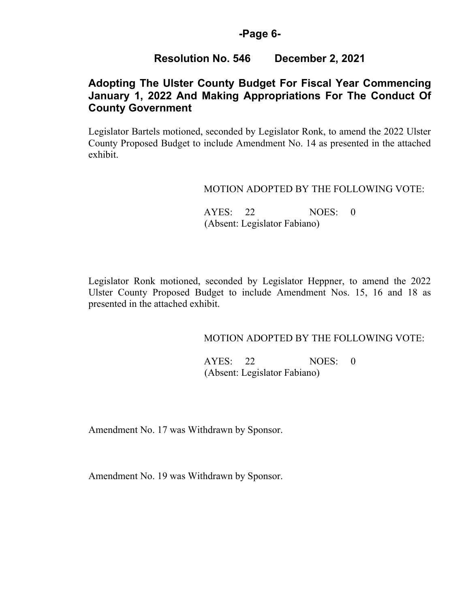## **-Page 6-**

# **Resolution No. 546 December 2, 2021**

# **Adopting The Ulster County Budget For Fiscal Year Commencing January 1, 2022 And Making Appropriations For The Conduct Of County Government**

Legislator Bartels motioned, seconded by Legislator Ronk, to amend the 2022 Ulster County Proposed Budget to include Amendment No. 14 as presented in the attached exhibit.

## MOTION ADOPTED BY THE FOLLOWING VOTE:

 AYES: 22 NOES: 0 (Absent: Legislator Fabiano)

Legislator Ronk motioned, seconded by Legislator Heppner, to amend the 2022 Ulster County Proposed Budget to include Amendment Nos. 15, 16 and 18 as presented in the attached exhibit.

## MOTION ADOPTED BY THE FOLLOWING VOTE:

 AYES: 22 NOES: 0 (Absent: Legislator Fabiano)

Amendment No. 17 was Withdrawn by Sponsor.

Amendment No. 19 was Withdrawn by Sponsor.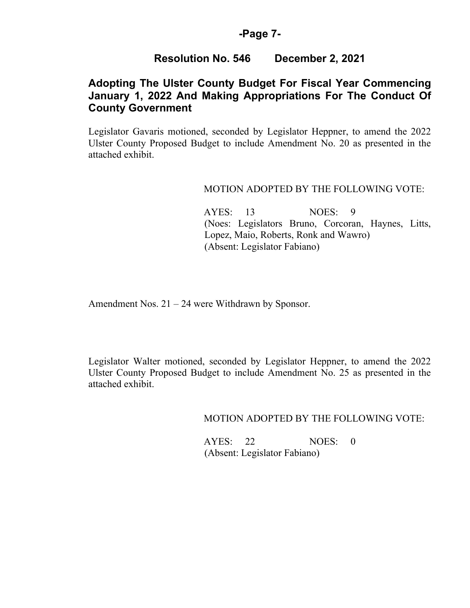### **-Page 7-**

# **Resolution No. 546 December 2, 2021**

# **Adopting The Ulster County Budget For Fiscal Year Commencing January 1, 2022 And Making Appropriations For The Conduct Of County Government**

Legislator Gavaris motioned, seconded by Legislator Heppner, to amend the 2022 Ulster County Proposed Budget to include Amendment No. 20 as presented in the attached exhibit.

#### MOTION ADOPTED BY THE FOLLOWING VOTE:

 AYES: 13 NOES: 9 (Noes: Legislators Bruno, Corcoran, Haynes, Litts, Lopez, Maio, Roberts, Ronk and Wawro) (Absent: Legislator Fabiano)

Amendment Nos. 21 – 24 were Withdrawn by Sponsor.

Legislator Walter motioned, seconded by Legislator Heppner, to amend the 2022 Ulster County Proposed Budget to include Amendment No. 25 as presented in the attached exhibit.

MOTION ADOPTED BY THE FOLLOWING VOTE:

 AYES: 22 NOES: 0 (Absent: Legislator Fabiano)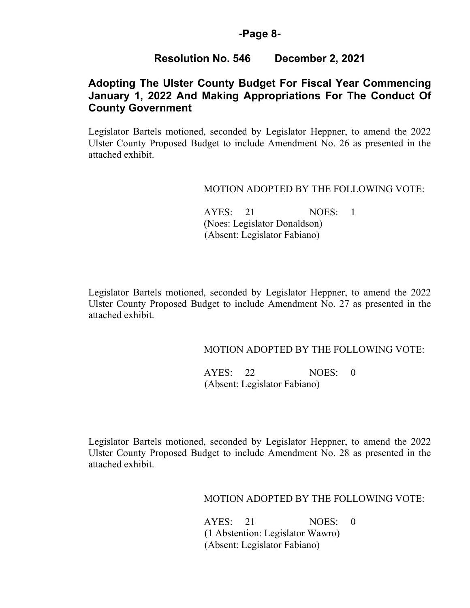### **-Page 8-**

## **Resolution No. 546 December 2, 2021**

# **Adopting The Ulster County Budget For Fiscal Year Commencing January 1, 2022 And Making Appropriations For The Conduct Of County Government**

Legislator Bartels motioned, seconded by Legislator Heppner, to amend the 2022 Ulster County Proposed Budget to include Amendment No. 26 as presented in the attached exhibit.

#### MOTION ADOPTED BY THE FOLLOWING VOTE:

AYES: 21 NOES: 1 (Noes: Legislator Donaldson) (Absent: Legislator Fabiano)

Legislator Bartels motioned, seconded by Legislator Heppner, to amend the 2022 Ulster County Proposed Budget to include Amendment No. 27 as presented in the attached exhibit.

## MOTION ADOPTED BY THE FOLLOWING VOTE:

AYES: 22 NOES: 0 (Absent: Legislator Fabiano)

Legislator Bartels motioned, seconded by Legislator Heppner, to amend the 2022 Ulster County Proposed Budget to include Amendment No. 28 as presented in the attached exhibit.

### MOTION ADOPTED BY THE FOLLOWING VOTE:

 AYES: 21 NOES: 0 (1 Abstention: Legislator Wawro) (Absent: Legislator Fabiano)